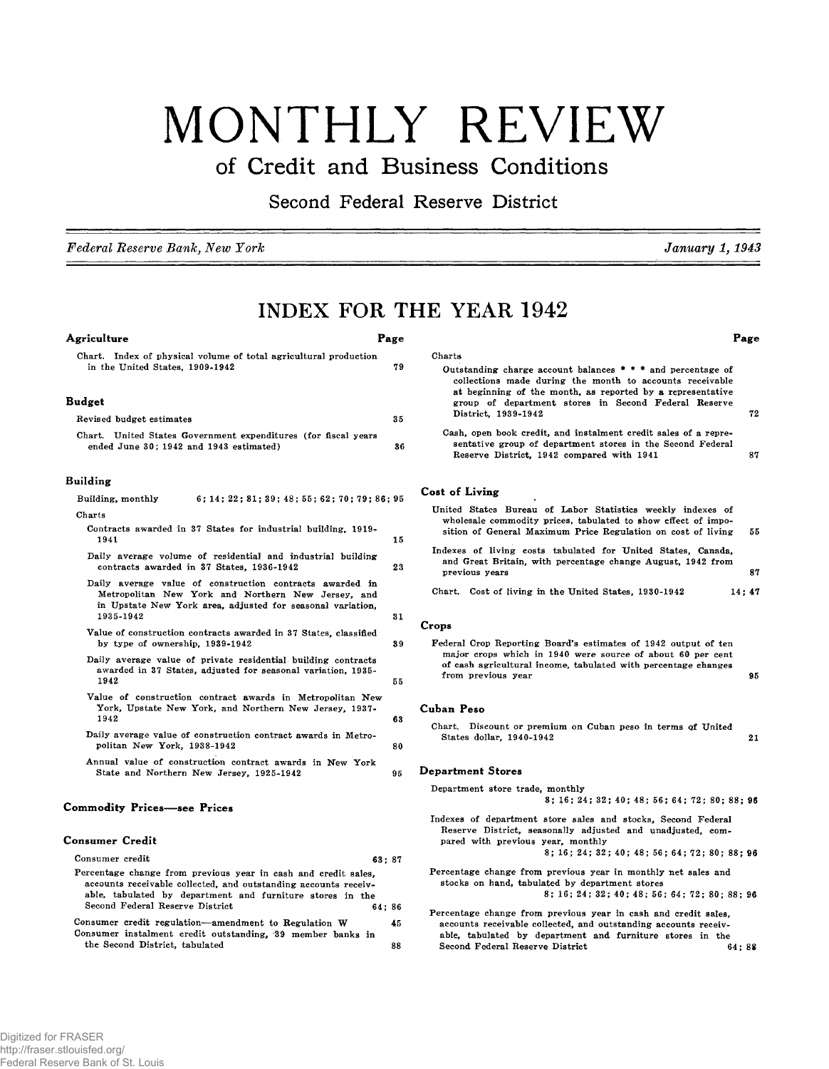# MONTHLY REVIEW

# **of Credit and Business Conditions**

**Second Federal Reserve District**

*Federal Reserve Bank, New York January 1,1943*

**Page**

# **INDEX FOR THE YEAR 1942**

Charts

#### **Agriculture Page**

# Chart. Index of physical volume of total agricultural production in the United States, 1909-1942 79

#### **Budget**

| Revised budget estimates                                       | 35 |
|----------------------------------------------------------------|----|
| Chart. United States Government expenditures (for fiscal years |    |
| ended June 30; 1942 and 1943 estimated)                        | 36 |

#### **Building**

| Charts<br>Contracts awarded in 37 States for industrial building, 1919-<br>1941                                                                                                           | 15<br>23 |
|-------------------------------------------------------------------------------------------------------------------------------------------------------------------------------------------|----------|
|                                                                                                                                                                                           |          |
|                                                                                                                                                                                           |          |
| Daily average volume of residential and industrial building<br>contracts awarded in 37 States, 1936-1942                                                                                  |          |
| Daily average value of construction contracts awarded in<br>Metropolitan New York and Northern New Jersey, and<br>in Upstate New York area, adjusted for seasonal variation,<br>1935-1942 | 31       |
| Value of construction contracts awarded in 37 States, classified<br>by type of ownership, 1939-1942                                                                                       | 39       |
| Daily average value of private residential building contracts<br>awarded in 37 States, adjusted for seasonal variation, 1935-<br>1942                                                     | 55       |
| Value of construction contract awards in Metropolitan New<br>York, Upstate New York, and Northern New Jersey, 1937-<br>1942                                                               | 63       |
| Daily average value of construction contract awards in Metro-<br>politan New York, 1938-1942                                                                                              | 80       |
| Annual value of construction contract awards in New York<br>State and Northern New Jersey, 1925-1942                                                                                      | I<br>95  |
| <b>Commodity Prices—see Prices</b>                                                                                                                                                        |          |
| Consumer Credit                                                                                                                                                                           |          |
| Consumer credit<br>63:87                                                                                                                                                                  |          |

| Percentage change from previous year in cash and credit sales.  |    |
|-----------------------------------------------------------------|----|
| accounts receivable collected, and outstanding accounts receiv- |    |
| able, tabulated by department and furniture stores in the       |    |
| Second Federal Reserve District<br>64:86                        |    |
| Consumer credit regulation-amendment to Regulation W            | 45 |
| Consumer instalment credit outstanding, 39 member banks in      |    |
| the Second District, tabulated                                  | 88 |

| group of department stores in Second Federal Reserve<br>District, 1939-1942                                                                                                                 | 72 |
|---------------------------------------------------------------------------------------------------------------------------------------------------------------------------------------------|----|
| Cash, open book credit, and instalment credit sales of a repre-<br>sentative group of department stores in the Second Federal<br>Reserve District, 1942 compared with 1941                  | 87 |
| Cost of Living<br>٠                                                                                                                                                                         |    |
| United States Bureau of Labor Statistics weekly indexes of<br>wholesale commodity prices, tabulated to show effect of impo-<br>sition of General Maximum Price Regulation on cost of living | 55 |
| Indexes of living costs tabulated for United States. Canada.<br>and Great Britain, with percentage change August, 1942 from<br>previous years                                               | 87 |
| Chart. Cost of living in the United States, 1930-1942<br>14:47                                                                                                                              |    |
| Crops                                                                                                                                                                                       |    |
| Federal Crop Reporting Board's estimates of 1942 output of tep                                                                                                                              |    |

Outstanding charge account balances  $* * *$  and percentage of collections made during the month to accounts receivable at beginning of the month, as reported by a representative

Federal Crop Reporting Board's estimates of 1942 output of ten major crops which in 1940 were source of about 60 per cent of cash agricultural income, tabulated with percentage changes from previous year 95

#### **Cuban Peso**

#### **Department Stores**

Department store trade, monthly

8; 16; 24; 32; 40; 48; 56; 64; 72; 80; 88; 96

Indexes of department store sales and stocks, Second Federal Reserve District, seasonally adjusted and unadjusted, compared with previous year, monthly

8; 16; 24; 32; 40; 48; 56; 64; 72; 80; 88; 96

- Percentage change from previous year in monthly net sales and stocks on hand, tabulated by department stores 8; 16; 24; 32; 40; 48; 56; 64; 72; 80; 88; 96
- Percentage change from previous year in cash and credit sales, accounts receivable collected, and outstanding accounts receivable, tabulated by department and furniture stores in the Second Federal Reserve District 64; 88

Chart. Discount or premium on Cuban peso in terms of United States dollar, 1940-1942 **21**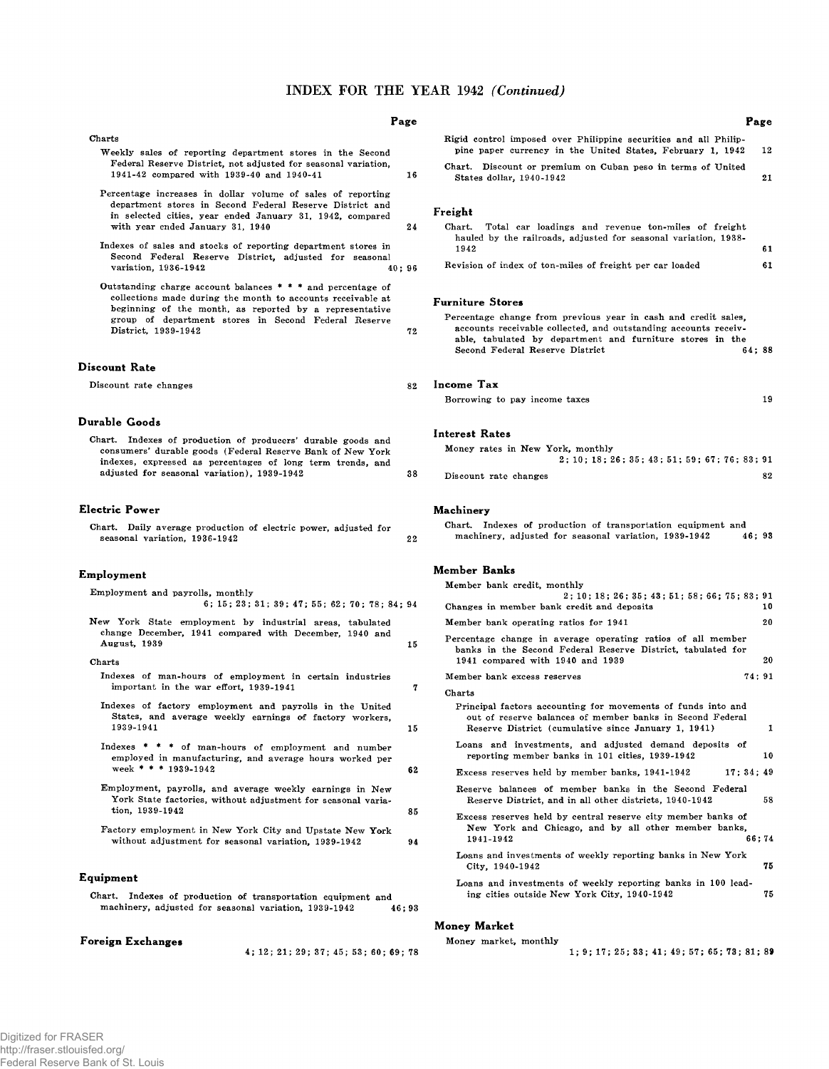## INDEX FOR THE YEAR 1942 *(Continued)*

#### Charts

- Weekly sales of reporting department stores in the Second Federal Reserve District, not adjusted for seasonal variation, 1941-42 com pared with 1939-40 and 1940-41
- Percentage increases in dollar volume of sales of reporting department stores in Second Federal Reserve District and in selected cities, year ended January 31, 1942, compared with year ended January 31, 1940 24
- Indexes of sales and stocks of reporting department stores in Second Federal Reserve District, adjusted for seasonal variation, 1936-1942<br>40; 96 variation, 1936-1942
- Outstanding charge account balances  $* * *$  and percentage of collections made during the month to accounts receivable at beginning of the month, as reported by a representative group of department stores in Second Federal Reserve District, 1939-1942 72

#### **Discount Rate**

Discount rate changes

#### **Durable Goods**

Chart. Indexes of production of producers' durable goods and consumers' durable goods (Federal Reserve Bank of New York indexes, expressed as percentages of long term trends, and adjusted for seasonal variation), 1939-1942

#### **Electric Power**

Chart. Daily average production of electric power, adjusted for seasonal variation, 1936-1942 **22**

#### **Employment**

| Employment and payrolls, monthly |                                               |  |  |  |
|----------------------------------|-----------------------------------------------|--|--|--|
|                                  | 6; 15; 23; 31; 39; 47; 55; 62; 70; 78; 84; 94 |  |  |  |

New York State employment by industrial areas, tabulated change December, 1941 com pared with December, 1940 and August, 1939 15

#### Charts

- Indexes of man-hours of employment in certain industries  $im$  portant in the war effort,  $1939-1941$   $7$
- Indexes of factory employment and payrolls in the United States, and average weekly earnings of factory workers, 1939-1941 15
- Indexes  $* * *$  of man-hours of employment and number employed in manufacturing, and average hours worked per week \* \* \* 1939-1942 62
- Em ploym ent, payrolls, and average weekly earnings in New York State factories, without adjustment for seasonal variation, 1939-1942 85
- Factory employment in New York City and Upstate New York without adjustment for seasonal variation, 1939-1942 94

#### **Equipment**

Chart. Indexes of production of transportation equipment and machinery, adjusted for seasonal variation, 1939-1942 46; 93

**Foreign Exchanges**

4 ; 12; 2 1 ; 2 9; 37; 45; 5 3; 60; 69; 78

#### **Page**

16

|                                                                                                                                | 1 axe |
|--------------------------------------------------------------------------------------------------------------------------------|-------|
| Rigid control imposed over Philippine securities and all Philip-<br>pine paper currency in the United States, February 1, 1942 | 12    |
| Chart. Discount or premium on Cuban peso in terms of United<br>States dollar, 1940-1942                                        | 21    |

#### **Freight**

#### Chart. Total car loadings and revenue ton-miles of freight hauled by the railroads, adjusted for seasonal variation, 1938- $1942$  61

|  |  | Revision of index of ton-miles of freight per car loaded |  |  |  |  |
|--|--|----------------------------------------------------------|--|--|--|--|
|  |  |                                                          |  |  |  |  |

#### **Furniture Stores**

| Percentage change from previous year in cash and credit sales.  |  |
|-----------------------------------------------------------------|--|
| accounts receivable collected, and outstanding accounts receiv- |  |
| able, tabulated by department and furniture stores in the       |  |
| Second Federal Reserve District<br>64:88                        |  |
|                                                                 |  |
|                                                                 |  |
|                                                                 |  |

# 82 **Income Tax**

| Borrowing to pay income taxes |  |  |  |
|-------------------------------|--|--|--|
|                               |  |  |  |

#### **Interest Rates**

|    | Money rates in New York, monthly |                                    |    |
|----|----------------------------------|------------------------------------|----|
|    |                                  | 2:10:18:26:35:43:51:59:67:76:83:91 |    |
| 38 | Discount rate changes            |                                    | 82 |

#### **Machinery**

|  |  |  | Chart. Indexes of production of transportation equipment and |       |  |
|--|--|--|--------------------------------------------------------------|-------|--|
|  |  |  | machinery, adjusted for seasonal variation, 1939-1942        | 46:93 |  |

#### **Member Banks**

| Member bank credit, monthly                                                                                                                                                      |       |
|----------------------------------------------------------------------------------------------------------------------------------------------------------------------------------|-------|
| 2:10:18:26:35:43:51:58:66:75:83:91                                                                                                                                               |       |
| Changes in member bank credit and deposits                                                                                                                                       | 10    |
| Member bank operating ratios for 1941                                                                                                                                            | 20    |
| Percentage change in average operating ratios of all member<br>banks in the Second Federal Reserve District, tabulated for                                                       | 20    |
| 1941 compared with 1940 and 1939                                                                                                                                                 |       |
| Member bank excess reserves                                                                                                                                                      | 74:91 |
| Charts                                                                                                                                                                           |       |
| Principal factors accounting for movements of funds into and<br>out of reserve balances of member banks in Second Federal<br>Reserve District (cumulative since January 1, 1941) | 1     |
|                                                                                                                                                                                  |       |
| Loans and investments, and adjusted demand deposits of<br>reporting member banks in 101 cities, 1939-1942                                                                        | 10    |
| Excess reserves held by member banks, 1941-1942<br>17:34:49                                                                                                                      |       |
| Reserve balances of member banks in the Second Federal                                                                                                                           |       |
| Reserve District, and in all other districts, 1940-1942                                                                                                                          | 58    |
| Excess reserves held by central reserve city member banks of<br>New York and Chicago, and by all other member banks,<br>1941-1942                                                | 66:74 |
| Loans and investments of weekly reporting banks in New York<br>City, 1940-1942                                                                                                   | 75    |
| Loans and investments of weekly reporting banks in 100 lead-<br>ing cities outside New York City, 1940-1942                                                                      | 75    |
|                                                                                                                                                                                  |       |

#### **Money Market**

| Money market, monthly |                                                |
|-----------------------|------------------------------------------------|
|                       | $1: 9: 17: 25: 33: 41: 49: 57: 65: 73: 81: 89$ |

 $D_{max}$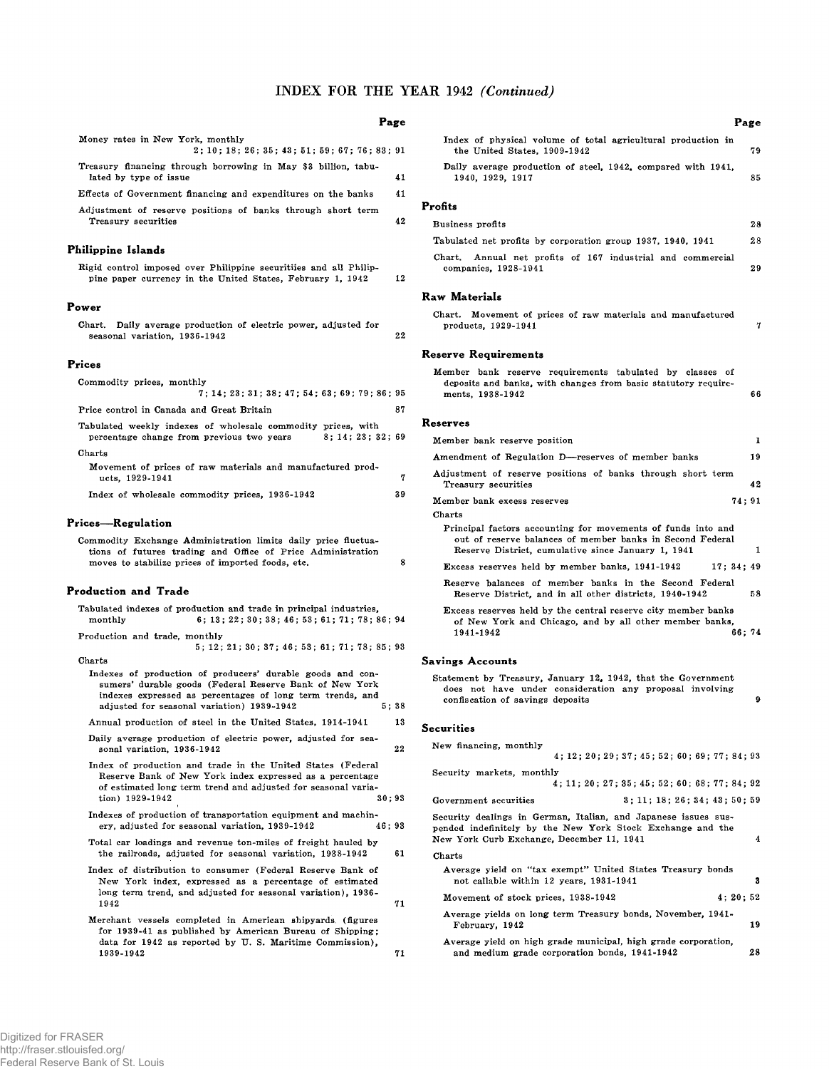# INDEX FOR THE YEAR 1942 *(Continued)*

## **Page**

| Money rates in New York, monthly                                                                                                                                                                                                         |   |
|------------------------------------------------------------------------------------------------------------------------------------------------------------------------------------------------------------------------------------------|---|
| 2; 10; 18; 26; 35; 43; 51; 59; 67; 76; 83; 91<br>Treasury financing through borrowing in May \$3 billion, tabu-                                                                                                                          |   |
| lated by type of issue<br>41                                                                                                                                                                                                             |   |
| Effects of Government financing and expenditures on the banks<br>41                                                                                                                                                                      |   |
| Adjustment of reserve positions of banks through short term<br>42<br>Treasury securities                                                                                                                                                 |   |
| Philippine Islands                                                                                                                                                                                                                       |   |
| Rigid control imposed over Philippine securitiies and all Philip-<br>12<br>pine paper currency in the United States, February 1, 1942                                                                                                    |   |
| Power                                                                                                                                                                                                                                    |   |
| Chart.<br>Daily average production of electric power, adjusted for<br>22<br>seasonal variation, 1936-1942                                                                                                                                |   |
| Prices                                                                                                                                                                                                                                   |   |
| Commodity prices, monthly<br>7; 14; 23; 31; 38; 47; 54; 63; 69; 79; 86; 95                                                                                                                                                               |   |
| 87<br>Price control in Canada and Great Britain                                                                                                                                                                                          |   |
| Tabulated weekly indexes of wholesale commodity prices, with<br>percentage change from previous two years<br>8; 14; 23; 32; 69                                                                                                           |   |
| ${\rm Charts}$<br>Movement of prices of raw materials and manufactured prod-<br>ucts, 1929-1941                                                                                                                                          | 7 |
| 39<br>Index of wholesale commodity prices, 1936-1942                                                                                                                                                                                     |   |
| Prices—Regulation                                                                                                                                                                                                                        |   |
| Commodity Exchange Administration limits daily price fluctua-<br>tions of futures trading and Office of Price Administration<br>moves to stabilize prices of imported foods, etc.                                                        | 8 |
| Production and Trade                                                                                                                                                                                                                     |   |
| Tabulated indexes of production and trade in principal industries,<br>monthly<br>6; 13; 22; 30; 38; 46; 53; 61; 71; 78; 86; 94                                                                                                           |   |
| Production and trade, monthly<br>5; 12; 21; 30; 37; 46; 53; 61; 71; 78; 85; 93                                                                                                                                                           |   |
| Charts                                                                                                                                                                                                                                   |   |
| Indexes of production of producers' durable goods and con-<br>sumers' durable goods (Federal Reserve Bank of New York<br>indexes expressed as percentages of long term trends, and<br>adjusted for seasonal variation) 1939-1942<br>5:38 |   |
| Annual production of steel in the United States, 1914-1941<br>13                                                                                                                                                                         |   |
| Daily average production of electric power, adjusted for sea-<br>sonal variation, 1936-1942<br>22                                                                                                                                        |   |
| Index of production and trade in the United States (Federal<br>Reserve Bank of New York index expressed as a percentage<br>of estimated long term trend and adjusted for seasonal varia-<br>tion) 1929-1942<br>30:93                     |   |
| Indexes of production of transportation equipment and machin-<br>ery, adjusted for seasonal variation, 1939-1942<br>46;93                                                                                                                |   |
| Total car loadings and revenue ton-miles of freight hauled by<br>the railroads, adjusted for seasonal variation, 1938-1942<br>61                                                                                                         |   |
| Index of distribution to consumer (Federal Reserve Bank of<br>New York index, expressed as a percentage of estimated<br>long term trend, and adjusted for seasonal variation), 1936-<br>1942<br>71                                       |   |
| Merchant vessels completed in American shipyards. (figures<br>for 1939-41 as published by American Bureau of Shipping;<br>data for 1942 as reported by U.S. Maritime Commission),<br>1939-1942<br>71                                     |   |
|                                                                                                                                                                                                                                          |   |

|                                                                                                                                                                                 | Page   |  |  |  |  |
|---------------------------------------------------------------------------------------------------------------------------------------------------------------------------------|--------|--|--|--|--|
| Index of physical volume of total agricultural production in<br>the United States, 1909-1942                                                                                    | 79     |  |  |  |  |
| Daily average production of steel, 1942, compared with 1941,<br>1940, 1929, 1917                                                                                                |        |  |  |  |  |
| Profits                                                                                                                                                                         |        |  |  |  |  |
| Business profits                                                                                                                                                                | 28     |  |  |  |  |
| Tabulated net profits by corporation group 1937, 1940, 1941                                                                                                                     | 28     |  |  |  |  |
| Chart.<br>Annual net profits of 167 industrial and commercial<br>companies, 1928-1941                                                                                           | 29     |  |  |  |  |
| Raw Materials                                                                                                                                                                   |        |  |  |  |  |
| Movement of prices of raw materials and manufactured<br>Chart.<br>products, 1929-1941                                                                                           | 7      |  |  |  |  |
| Reserve Requirements                                                                                                                                                            |        |  |  |  |  |
| Member bank reserve requirements tabulated by classes of<br>deposits and banks, with changes from basic statutory require-<br>ments, 1938-1942                                  | 66     |  |  |  |  |
| Reserves                                                                                                                                                                        |        |  |  |  |  |
| Member bank reserve position                                                                                                                                                    | 1      |  |  |  |  |
| Amendment of Regulation D-reserves of member banks                                                                                                                              | 19     |  |  |  |  |
| Adjustment of reserve positions of banks through short term<br>Treasury securities                                                                                              | 42     |  |  |  |  |
| Member bank excess reserves<br>Charts                                                                                                                                           | 74; 91 |  |  |  |  |
| Principal factors accounting for movements of funds into and<br>out of reserve balances of member banks in Second Federal<br>Reserve District, cumulative since January 1, 1941 | 1      |  |  |  |  |
| Excess reserves held by member banks, 1941-1942<br>17:34:49                                                                                                                     |        |  |  |  |  |
| Reserve balances of member banks in the Second Federal<br>Reserve District, and in all other districts, 1940-1942                                                               | 58     |  |  |  |  |
| Excess reserves held by the central reserve city member banks<br>of New York and Chicago, and by all other member banks,<br>1941-1942                                           | 66:74  |  |  |  |  |
| <b>Savings Accounts</b>                                                                                                                                                         |        |  |  |  |  |
| Statement by Treasury, January 12, 1942, that the Government<br>does not have under consideration any proposal involving<br>confiscation of savings deposits                    | 9      |  |  |  |  |
| <b>Securities</b>                                                                                                                                                               |        |  |  |  |  |
| Now francing monthly                                                                                                                                                            |        |  |  |  |  |

| Securities |  |
|------------|--|
|------------|--|

| New financing, monthly                                                                                                                                                    |                                               |    |  |  |  |  |  |
|---------------------------------------------------------------------------------------------------------------------------------------------------------------------------|-----------------------------------------------|----|--|--|--|--|--|
|                                                                                                                                                                           | 4; 12; 20; 29; 37; 45; 52; 60; 69; 77; 84; 93 |    |  |  |  |  |  |
| Security markets, monthly                                                                                                                                                 |                                               |    |  |  |  |  |  |
|                                                                                                                                                                           | 4: 11: 20: 27: 35: 45: 52: 60: 68: 77: 84: 92 |    |  |  |  |  |  |
| Government securities                                                                                                                                                     | 3:11:18:26:34:43:50:59                        |    |  |  |  |  |  |
| Security dealings in German, Italian, and Japanese issues sus-<br>pended indefinitely by the New York Stock Exchange and the<br>New York Curb Exchange, December 11, 1941 |                                               | 4  |  |  |  |  |  |
| Charts                                                                                                                                                                    |                                               |    |  |  |  |  |  |
| Average yield on "tax exempt" United States Treasury bonds                                                                                                                |                                               |    |  |  |  |  |  |
| not callable within 12 years, 1931-1941                                                                                                                                   |                                               | 2  |  |  |  |  |  |
| 4:20:52<br>Movement of stock prices, 1938-1942                                                                                                                            |                                               |    |  |  |  |  |  |
| Average yields on long term Treasury bonds, November, 1941-<br>February, 1942                                                                                             |                                               | 19 |  |  |  |  |  |
| Average yield on high grade municipal, high grade corporation,                                                                                                            |                                               |    |  |  |  |  |  |
| and medium grade corporation bonds, 1941-1942                                                                                                                             |                                               | 28 |  |  |  |  |  |